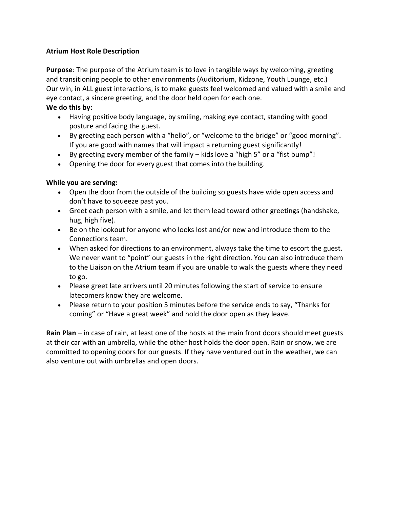## **Atrium Host Role Description**

**Purpose**: The purpose of the Atrium team is to love in tangible ways by welcoming, greeting and transitioning people to other environments (Auditorium, Kidzone, Youth Lounge, etc.) Our win, in ALL guest interactions, is to make guests feel welcomed and valued with a smile and eye contact, a sincere greeting, and the door held open for each one. **We do this by:**

- Having positive body language, by smiling, making eye contact, standing with good posture and facing the guest.
- By greeting each person with a "hello", or "welcome to the bridge" or "good morning". If you are good with names that will impact a returning guest significantly!
- By greeting every member of the family kids love a "high 5" or a "fist bump"!
- Opening the door for every guest that comes into the building.

### **While you are serving:**

- Open the door from the outside of the building so guests have wide open access and don't have to squeeze past you.
- Greet each person with a smile, and let them lead toward other greetings (handshake, hug, high five).
- Be on the lookout for anyone who looks lost and/or new and introduce them to the Connections team.
- When asked for directions to an environment, always take the time to escort the guest. We never want to "point" our guests in the right direction. You can also introduce them to the Liaison on the Atrium team if you are unable to walk the guests where they need to go.
- Please greet late arrivers until 20 minutes following the start of service to ensure latecomers know they are welcome.
- Please return to your position 5 minutes before the service ends to say, "Thanks for coming" or "Have a great week" and hold the door open as they leave.

**Rain Plan** – in case of rain, at least one of the hosts at the main front doors should meet guests at their car with an umbrella, while the other host holds the door open. Rain or snow, we are committed to opening doors for our guests. If they have ventured out in the weather, we can also venture out with umbrellas and open doors.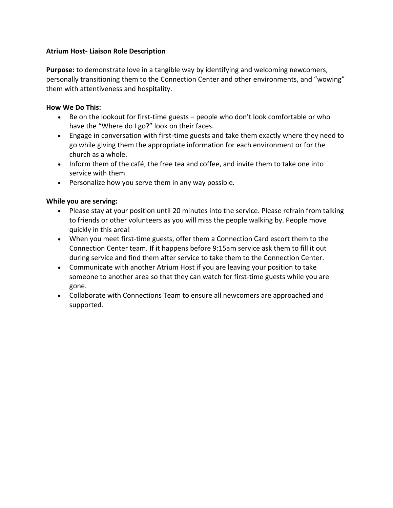### **Atrium Host- Liaison Role Description**

**Purpose:** to demonstrate love in a tangible way by identifying and welcoming newcomers, personally transitioning them to the Connection Center and other environments, and "wowing" them with attentiveness and hospitality.

### **How We Do This:**

- Be on the lookout for first-time guests people who don't look comfortable or who have the "Where do I go?" look on their faces.
- Engage in conversation with first-time guests and take them exactly where they need to go while giving them the appropriate information for each environment or for the church as a whole.
- Inform them of the café, the free tea and coffee, and invite them to take one into service with them.
- Personalize how you serve them in any way possible.

### **While you are serving:**

- Please stay at your position until 20 minutes into the service. Please refrain from talking to friends or other volunteers as you will miss the people walking by. People move quickly in this area!
- When you meet first-time guests, offer them a Connection Card escort them to the Connection Center team. If it happens before 9:15am service ask them to fill it out during service and find them after service to take them to the Connection Center.
- Communicate with another Atrium Host if you are leaving your position to take someone to another area so that they can watch for first-time guests while you are gone.
- Collaborate with Connections Team to ensure all newcomers are approached and supported.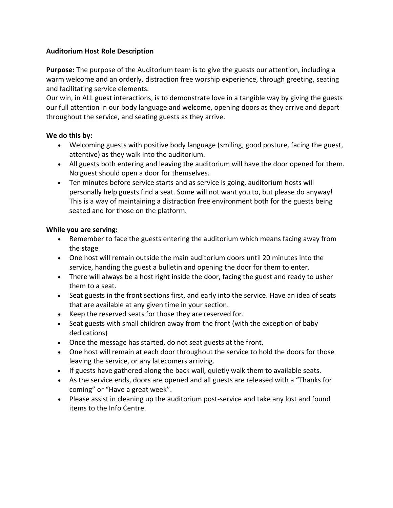## **Auditorium Host Role Description**

**Purpose:** The purpose of the Auditorium team is to give the guests our attention, including a warm welcome and an orderly, distraction free worship experience, through greeting, seating and facilitating service elements.

Our win, in ALL guest interactions, is to demonstrate love in a tangible way by giving the guests our full attention in our body language and welcome, opening doors as they arrive and depart throughout the service, and seating guests as they arrive.

### **We do this by:**

- Welcoming guests with positive body language (smiling, good posture, facing the guest, attentive) as they walk into the auditorium.
- All guests both entering and leaving the auditorium will have the door opened for them. No guest should open a door for themselves.
- Ten minutes before service starts and as service is going, auditorium hosts will personally help guests find a seat. Some will not want you to, but please do anyway! This is a way of maintaining a distraction free environment both for the guests being seated and for those on the platform.

### **While you are serving:**

- Remember to face the guests entering the auditorium which means facing away from the stage
- One host will remain outside the main auditorium doors until 20 minutes into the service, handing the guest a bulletin and opening the door for them to enter.
- There will always be a host right inside the door, facing the guest and ready to usher them to a seat.
- Seat guests in the front sections first, and early into the service. Have an idea of seats that are available at any given time in your section.
- Keep the reserved seats for those they are reserved for.
- Seat guests with small children away from the front (with the exception of baby dedications)
- Once the message has started, do not seat guests at the front.
- One host will remain at each door throughout the service to hold the doors for those leaving the service, or any latecomers arriving.
- If guests have gathered along the back wall, quietly walk them to available seats.
- As the service ends, doors are opened and all guests are released with a "Thanks for coming" or "Have a great week".
- Please assist in cleaning up the auditorium post-service and take any lost and found items to the Info Centre.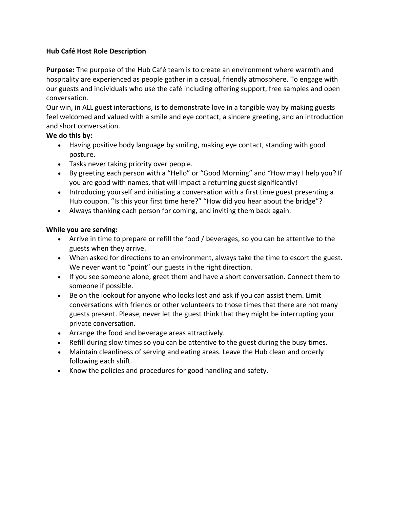## **Hub Café Host Role Description**

**Purpose:** The purpose of the Hub Café team is to create an environment where warmth and hospitality are experienced as people gather in a casual, friendly atmosphere. To engage with our guests and individuals who use the café including offering support, free samples and open conversation.

Our win, in ALL guest interactions, is to demonstrate love in a tangible way by making guests feel welcomed and valued with a smile and eye contact, a sincere greeting, and an introduction and short conversation.

## **We do this by:**

- Having positive body language by smiling, making eye contact, standing with good posture.
- Tasks never taking priority over people.
- By greeting each person with a "Hello" or "Good Morning" and "How may I help you? If you are good with names, that will impact a returning guest significantly!
- Introducing yourself and initiating a conversation with a first time guest presenting a Hub coupon. "Is this your first time here?" "How did you hear about the bridge"?
- Always thanking each person for coming, and inviting them back again.

### **While you are serving:**

- Arrive in time to prepare or refill the food / beverages, so you can be attentive to the guests when they arrive.
- When asked for directions to an environment, always take the time to escort the guest. We never want to "point" our guests in the right direction.
- If you see someone alone, greet them and have a short conversation. Connect them to someone if possible.
- Be on the lookout for anyone who looks lost and ask if you can assist them. Limit conversations with friends or other volunteers to those times that there are not many guests present. Please, never let the guest think that they might be interrupting your private conversation.
- Arrange the food and beverage areas attractively.
- Refill during slow times so you can be attentive to the guest during the busy times.
- Maintain cleanliness of serving and eating areas. Leave the Hub clean and orderly following each shift.
- Know the policies and procedures for good handling and safety.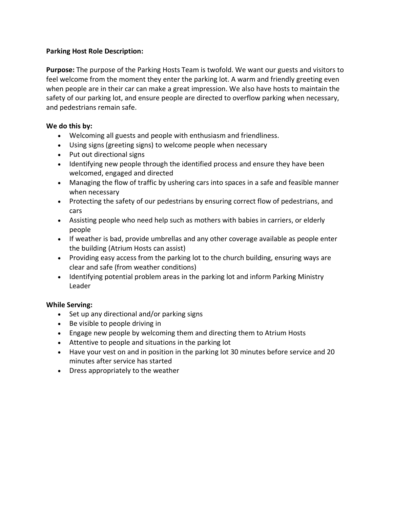## **Parking Host Role Description:**

**Purpose:** The purpose of the Parking Hosts Team is twofold. We want our guests and visitors to feel welcome from the moment they enter the parking lot. A warm and friendly greeting even when people are in their car can make a great impression. We also have hosts to maintain the safety of our parking lot, and ensure people are directed to overflow parking when necessary, and pedestrians remain safe.

## **We do this by:**

- Welcoming all guests and people with enthusiasm and friendliness.
- Using signs (greeting signs) to welcome people when necessary
- Put out directional signs
- Identifying new people through the identified process and ensure they have been welcomed, engaged and directed
- Managing the flow of traffic by ushering cars into spaces in a safe and feasible manner when necessary
- Protecting the safety of our pedestrians by ensuring correct flow of pedestrians, and cars
- Assisting people who need help such as mothers with babies in carriers, or elderly people
- If weather is bad, provide umbrellas and any other coverage available as people enter the building (Atrium Hosts can assist)
- Providing easy access from the parking lot to the church building, ensuring ways are clear and safe (from weather conditions)
- Identifying potential problem areas in the parking lot and inform Parking Ministry Leader

## **While Serving:**

- Set up any directional and/or parking signs
- Be visible to people driving in
- Engage new people by welcoming them and directing them to Atrium Hosts
- Attentive to people and situations in the parking lot
- Have your vest on and in position in the parking lot 30 minutes before service and 20 minutes after service has started
- Dress appropriately to the weather